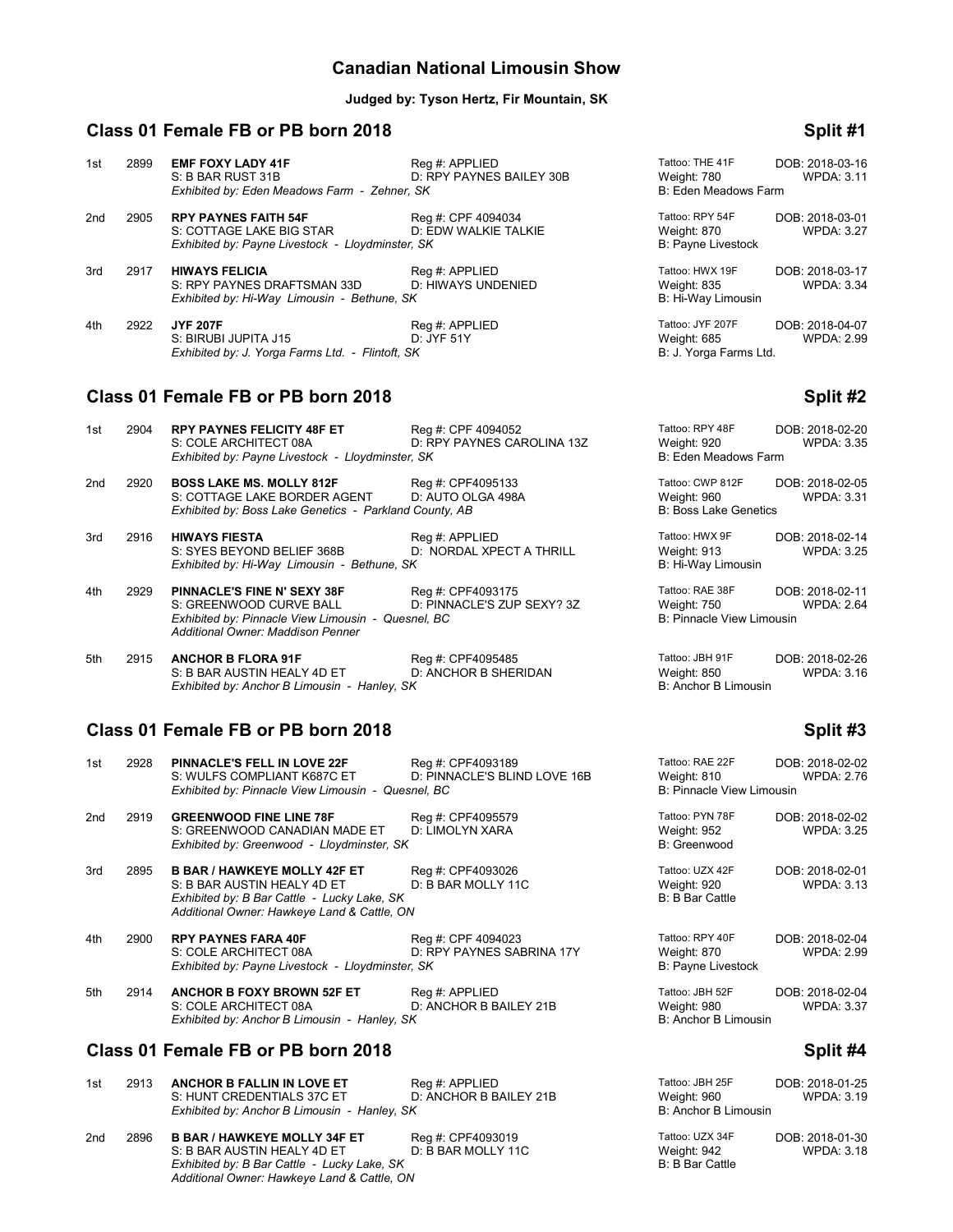## **Canadian National Limousin Show**

### **Judged by: Tyson Hertz, Fir Mountain, SK**

## **Class 01 Female FB or PB born 2018 Split #1**

### 1st 2899 **EMF FOXY LADY 41F** Reg #: APPLIED Tattoo: THE 41F DOB: 2018-03-16<br>1st 2899 **EMF FOXY LADY 41F** Reg #: APPLIED D: RPY PAYNES BAILEY 30B Weight: 780 WPDA: 3.11 D: RPY PAYNES BAILEY 30B Weight: 780<br>S: SK B: Eden Meadows Farm *Exhibited by: Eden Meadows Farm - Zehner, SK* 2nd 2905 **RPY PAYNES FAITH 54F** Reg #: CPF 4094034 Tattoo: RPY 54F DOB: 2018-03-01<br>S: COTTAGE LAKE BIG STAR D: EDW WALKIE TALKIE Weight: 870 WPDA: 3.27 S: COTTAGE LAKE BIG STAR D: EDW WALKIE TALKIE Weight: 870 Weight: 870 Exhibited by: Payne Livestock - Lloydminster, SK *Exhibited by: Payne Livestock - Lloydminster, SK* 3rd 2917 **HIWAYS FELICIA** Reg #: APPLIED Tattoo: HWX 19F DOB: 2018-03-17<br>S: RPY PAYNES DRAFTSMAN 33D D: HIWAYS UNDENIED Weight: 835 WPDA: 3.34 S: RPY PAYNES DRAFTSMAN 33D D: HIWAYS UNDENIED Weight: 835 Weight: 835<br>
Exhibited by: Hi-Way Limousin - Bethune, SK *Exhibited by: Hi-Way Limousin - Bethune, SK* 4th <sup>2922</sup> **JYF 207F DOB: 2018-04-07**<br>
4th 2922 **JYF 207F** DOB: 2018-04-07<br>
S: BIRUBI JUPITA J15 **DELITY DOB: 2018-04-07** DELITY DELITY **The STATT STATT OF A CONFINENT DOB: 2018-04-07** S: BIRUBI JUPITA J15 D: JYF 51Y D: JYF 51Y Weight: 685<br>Exhibited by: J. Yorga Farms Ltd. - Flintoft, SK B: 3.999 Parms Ltd. *Exhibited by: J. Yorga Farms Ltd. - Flintoft, SK*

## **Class 01 Female FB or PB born 2018 Split #2 Split #2**

| 1st | 2904                                               | <b>RPY PAYNES FELICITY 48F ET</b>                      | Reg #: CPF 4094052         | Tattoo: RPY 48F                  | DOB: 2018-02-20   |
|-----|----------------------------------------------------|--------------------------------------------------------|----------------------------|----------------------------------|-------------------|
|     |                                                    | S: COLE ARCHITECT 08A                                  | D: RPY PAYNES CAROLINA 13Z | Weight: 920                      | <b>WPDA: 3.35</b> |
|     |                                                    | Exhibited by: Payne Livestock - Lloydminster, SK       |                            | B: Eden Meadows Farm             |                   |
| 2nd | 2920                                               | <b>BOSS LAKE MS. MOLLY 812F</b>                        | Reg #: CPF4095133          | Tattoo: CWP 812F                 | DOB: 2018-02-05   |
|     |                                                    | S: COTTAGE LAKE BORDER AGENT                           | D: AUTO OLGA 498A          | Weight: 960                      | <b>WPDA: 3.31</b> |
|     |                                                    | Exhibited by: Boss Lake Genetics - Parkland County, AB |                            | <b>B: Boss Lake Genetics</b>     |                   |
| 3rd | 2916                                               | <b>HIWAYS FIESTA</b>                                   | Reg #: APPLIED             | Tattoo: HWX 9F                   | DOB: 2018-02-14   |
|     |                                                    | S: SYES BEYOND BELIEF 368B                             | D: NORDAL XPECT A THRILL   | Weight: 913                      | <b>WPDA: 3.25</b> |
|     |                                                    | Exhibited by: Hi-Way Limousin - Bethune, SK            |                            | B: Hi-Way Limousin               |                   |
| 4th | 2929                                               | <b>PINNACLE'S FINE N' SEXY 38F</b>                     | Reg #: CPF4093175          | Tattoo: RAE 38F                  | DOB: 2018-02-11   |
|     |                                                    | S: GREENWOOD CURVE BALL                                | D: PINNACLE'S ZUP SEXY? 3Z | Weight: 750                      | <b>WPDA: 2.64</b> |
|     | Exhibited by: Pinnacle View Limousin - Quesnel, BC |                                                        |                            | <b>B: Pinnacle View Limousin</b> |                   |
|     |                                                    | Additional Owner: Maddison Penner                      |                            |                                  |                   |
| 5th | 2915                                               | <b>ANCHOR B FLORA 91F</b>                              | Reg #: CPF4095485          | Tattoo: JBH 91F                  | DOB: 2018-02-26   |
|     |                                                    | S: B BAR AUSTIN HEALY 4D ET                            | D: ANCHOR B SHERIDAN       | Weight: 850                      | WPDA: 3.16        |
|     |                                                    | Exhibited by: Anchor B Limousin - Hanley, SK           |                            | <b>B: Anchor B Limousin</b>      |                   |

## **Class 01 Female FB or PB born 2018 Split #3**

| 1st             | 2928 | <b>PINNACLE'S FELL IN LOVE 22F</b><br>S: WULFS COMPLIANT K687C ET<br>Exhibited by: Pinnacle View Limousin - Quesnel, BC                                          | Reg #: CPF4093189<br>D: PINNACLE'S BLIND LOVE 16B | Tattoo: RAE 22F<br>Weight: 810<br>B: Pinnacle View Limousin | DOB: 2018-02-02<br>WPDA: 2.76        |
|-----------------|------|------------------------------------------------------------------------------------------------------------------------------------------------------------------|---------------------------------------------------|-------------------------------------------------------------|--------------------------------------|
| 2 <sub>nd</sub> | 2919 | <b>GREENWOOD FINE LINE 78F</b><br>S: GREENWOOD CANADIAN MADE ET<br>Exhibited by: Greenwood - Lloydminster, SK                                                    | Reg #: CPF4095579<br>D: LIMOLYN XARA              | Tattoo: PYN 78F<br>Weight: 952<br>B: Greenwood              | DOB: 2018-02-02<br><b>WPDA: 3.25</b> |
| 3rd             | 2895 | <b>B BAR / HAWKEYE MOLLY 42F ET</b><br>S: B BAR AUSTIN HEALY 4D ET<br>Exhibited by: B Bar Cattle - Lucky Lake, SK<br>Additional Owner: Hawkeye Land & Cattle, ON | Reg #: CPF4093026<br>D: B BAR MOLLY 11C           | Tattoo: UZX 42F<br>Weight: 920<br><b>B: B Bar Cattle</b>    | DOB: 2018-02-01<br><b>WPDA: 3.13</b> |
| 4th             | 2900 | <b>RPY PAYNES FARA 40F</b><br>S: COLE ARCHITECT 08A<br>Exhibited by: Payne Livestock - Lloydminster, SK                                                          | Reg #: CPF 4094023<br>D: RPY PAYNES SABRINA 17Y   | Tattoo: RPY 40F<br>Weight: 870<br><b>B: Payne Livestock</b> | DOB: 2018-02-04<br>WPDA: 2.99        |
| 5th             | 2914 | <b>ANCHOR B FOXY BROWN 52F ET</b><br>S: COLE ARCHITECT 08A<br>Exhibited by: Anchor B Limousin - Hanley, SK                                                       | Reg #: APPLIED<br>D: ANCHOR B BAILEY 21B          | Tattoo: JBH 52F<br>Weight: 980<br>B: Anchor B Limousin      | DOB: 2018-02-04<br><b>WPDA: 3.37</b> |

## **Class 01 Female FB or PB born 2018 Split #4**

| 1st | 2913                                        | ANCHOR B FALLIN IN LOVE ET<br>S: HUNT CREDENTIALS 37C ET<br>Exhibited by: Anchor B Limousin - Hanley, SK | Reg #: APPLIED<br>D: ANCHOR B BAILEY 21B | Tattoo: JBH 25F<br>Weight: 960<br>B: Anchor B Limousin | DOB: 2018-01-25<br><b>WPDA: 3.19</b> |  |
|-----|---------------------------------------------|----------------------------------------------------------------------------------------------------------|------------------------------------------|--------------------------------------------------------|--------------------------------------|--|
| 2nd | 2896                                        | <b>B BAR / HAWKEYE MOLLY 34F ET</b>                                                                      | Reg #: CPF4093019                        | Tattoo: UZX 34F                                        | DOB: 2018-01-30                      |  |
|     |                                             | S: B BAR AUSTIN HEALY 4D ET                                                                              | D: B BAR MOLLY 11C                       | Weight: 942                                            | <b>WPDA: 3.18</b>                    |  |
|     | Exhibited by: B Bar Cattle - Lucky Lake, SK |                                                                                                          |                                          | B: B Bar Cattle                                        |                                      |  |
|     |                                             | Additional Owner: Hawkeve Land & Cattle, ON                                                              |                                          |                                                        |                                      |  |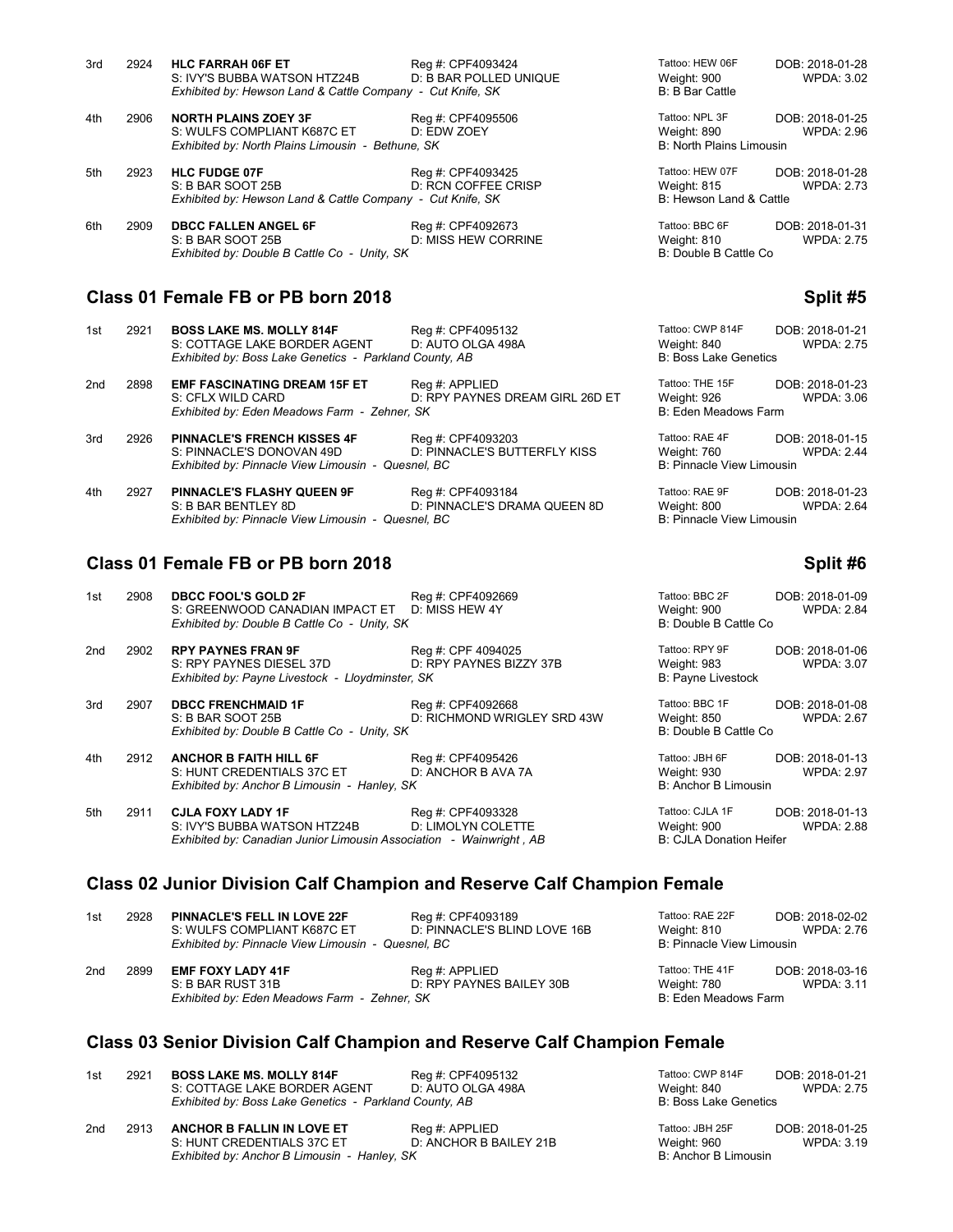| 3rd | 2924 | <b>HLC FARRAH 06F ET</b><br>S: IVY'S BUBBA WATSON HTZ24B<br>Exhibited by: Hewson Land & Cattle Company - Cut Knife, SK | Reg #: CPF4093424<br>D: B BAR POLLED UNIQUE | Tattoo: HEW 06F<br>Weight: 900<br><b>B:</b> B Bar Cattle | DOB: 2018-01-28<br>WPDA: 3.02        |
|-----|------|------------------------------------------------------------------------------------------------------------------------|---------------------------------------------|----------------------------------------------------------|--------------------------------------|
|     |      |                                                                                                                        |                                             |                                                          |                                      |
| 4th | 2906 | <b>NORTH PLAINS ZOEY 3F</b>                                                                                            | Reg #: CPF4095506                           | Tattoo: NPL 3F                                           | DOB: 2018-01-25                      |
|     |      | S: WULFS COMPLIANT K687C ET                                                                                            | D: EDW ZOEY                                 | Weight: 890                                              | <b>WPDA: 2.96</b>                    |
|     |      | Exhibited by: North Plains Limousin - Bethune, SK                                                                      |                                             | <b>B: North Plains Limousin</b>                          |                                      |
| 5th | 2923 | <b>HLC FUDGE 07F</b>                                                                                                   | Reg #: CPF4093425                           | Tattoo: HEW 07F                                          | DOB: 2018-01-28                      |
|     |      | S: B BAR SOOT 25B                                                                                                      | D: RCN COFFEE CRISP                         | Weight: 815                                              | <b>WPDA: 2.73</b>                    |
|     |      | Exhibited by: Hewson Land & Cattle Company - Cut Knife, SK                                                             |                                             | B: Hewson Land & Cattle                                  |                                      |
| 6th | 2909 | <b>DBCC FALLEN ANGEL 6F</b><br>S: B BAR SOOT 25B<br>Exhibited by: Double B Cattle Co - Unity, SK                       | Reg #: CPF4092673<br>D: MISS HEW CORRINE    | Tattoo: BBC 6F<br>Weight: 810<br>B: Double B Cattle Co   | DOB: 2018-01-31<br><b>WPDA: 2.75</b> |
|     |      |                                                                                                                        |                                             |                                                          |                                      |

### **Class 01 Female FB or PB born 2018 Split #5** Split #5

| 1st             | 2921 | <b>BOSS LAKE MS. MOLLY 814F</b>                        | Reg #: CPF4095132               | Tattoo: CWP 814F                 | DOB: 2018-01-21   |
|-----------------|------|--------------------------------------------------------|---------------------------------|----------------------------------|-------------------|
|                 |      | S: COTTAGE LAKE BORDER AGENT                           | D: AUTO OLGA 498A               | Weight: 840                      | <b>WPDA: 2.75</b> |
|                 |      | Exhibited by: Boss Lake Genetics - Parkland County, AB |                                 | <b>B: Boss Lake Genetics</b>     |                   |
| 2 <sub>nd</sub> | 2898 | <b>EMF FASCINATING DREAM 15F ET</b>                    | Req #: APPLIED                  | Tattoo: THE 15F                  | DOB: 2018-01-23   |
|                 |      | S: CFLX WILD CARD                                      | D: RPY PAYNES DREAM GIRL 26D ET | Weight: 926                      | <b>WPDA: 3.06</b> |
|                 |      | Exhibited by: Eden Meadows Farm - Zehner, SK           |                                 | B: Eden Meadows Farm             |                   |
| 3rd             | 2926 | <b>PINNACLE'S FRENCH KISSES 4F</b>                     | Reg #: CPF4093203               | Tattoo: RAE 4F                   | DOB: 2018-01-15   |
|                 |      | S: PINNACLE'S DONOVAN 49D                              | D: PINNACLE'S BUTTERFLY KISS    | Weight: 760                      | <b>WPDA: 2.44</b> |
|                 |      | Exhibited by: Pinnacle View Limousin - Quesnel, BC     |                                 | <b>B: Pinnacle View Limousin</b> |                   |

| 4th | 2927 | <b>PINNACLE'S FLASHY QUEEN 9F</b>                  | Reg #: CPF4093184            | Tattoo: RAE 9F            | DOB: 2018-01-23   |
|-----|------|----------------------------------------------------|------------------------------|---------------------------|-------------------|
|     |      | S: B BAR BENTLEY 8D                                | D: PINNACLE'S DRAMA QUEEN 8D | Weight: 800               | <b>WPDA: 2.64</b> |
|     |      | Exhibited by: Pinnacle View Limousin - Quesnel. BC |                              | B: Pinnacle View Limousin |                   |

## **Class 01 Female FB or PB born 2018 Split #6** Split #6

| 1st | 2908 DBCC FOOL'S GOLD 2F                       | Reg #: CPF4092669 | Tattoo: BBC 2F        | DOB: 2018-01-09   |
|-----|------------------------------------------------|-------------------|-----------------------|-------------------|
|     | S: GREENWOOD CANADIAN IMPACT ET D: MISS HEW 4Y |                   | Weight: 900           | <b>WPDA: 2.84</b> |
|     | Exhibited by: Double B Cattle Co - Unity, SK   |                   | B: Double B Cattle Co |                   |

| 2nd | 2902 RPY PAYNES FRAN 9F                          | Reg #: CPF 4094025      | Tattoo: RPY 9F     | DOB: 2018-01-06   |
|-----|--------------------------------------------------|-------------------------|--------------------|-------------------|
|     | S: RPY PAYNES DIESEL 37D                         | D: RPY PAYNES BIZZY 37B | Weight: 983        | <b>WPDA: 3.07</b> |
|     | Exhibited by: Payne Livestock - Lloydminster, SK |                         | B: Pavne Livestock |                   |

3rd 2907 **DBCC FRENCHMAID 1F** Reg #: CPF4092668 **Tattoo: BEC 1F Reg 15 CPF4092668** S: B BAR SOOT 25B **D**: RICHMOND WRIGLEY SRD 43W M D: RICHMOND WRIGLEY SRD 43W W.<br>B *Exhibited by: Double B Cattle Co - Unity, SK* 

4th 2912 **ANCHOR B FAITH HILL 6F** Reg #: CPF4095426 Tattoo: JBH 6F DOB: 2018-01-13<br>S: HUNT CREDENTIALS 37C ET D: ANCHOR B AVA 7A Weight: 930 WPDA: 2.97 S: HUNT CREDENTIALS 37C ET D: ANCHOR B AVA 7A Weight: 930<br>
Exhibited by: Anchor B Limousin - Hanley, SK B Anchor B Limousin *Exhibited by: Anchor B Limousin - Hanley, SK* 

5th 2911 **CJLA FOXY LADY 1F** Reg #: CPF4093328 Tattoo: CJLA 1F DOB: 2018-01-13<br>S: IVY'S BUBBA WATSON HTZ24B D: LIMOLYN COLETTE Weight: 900 WPDA: 2.88 S: IVY'S BUBBA WATSON HTZ24B D: LIMOLYN COLETTE Weight: 900<br>
Exhibited by: Canadian Junior Limousin Association - Wainwright, AB B: CJLA Donation Heifer *Exhibited by: Canadian Junior Limousin Association - Wainwright, AB* 

## **Class 02 Junior Division Calf Champion and Reserve Calf Champion Female**

| 1st | 2928 | <b>PINNACLE'S FELL IN LOVE 22F</b><br>S: WULFS COMPLIANT K687C ET<br>Exhibited by: Pinnacle View Limousin - Quesnel, BC | Reg #: CPF4093189<br>D: PINNACLE'S BLIND LOVE 16B | Tattoo: RAE 22F<br>Weight: 810<br>B: Pinnacle View Limousin | DOB: 2018-02-02<br>WPDA: 2.76 |
|-----|------|-------------------------------------------------------------------------------------------------------------------------|---------------------------------------------------|-------------------------------------------------------------|-------------------------------|
| 2nd | 2899 | <b>EMF FOXY LADY 41F</b>                                                                                                | Reg #: APPLIED                                    | Tattoo: THE 41F                                             | DOB: 2018-03-16               |
|     |      | S: B BAR RUST 31B                                                                                                       | D: RPY PAYNES BAILEY 30B                          | Weight: 780                                                 | WPDA: 3.11                    |
|     |      | Exhibited by: Eden Meadows Farm - Zehner, SK                                                                            |                                                   | B: Eden Meadows Farm                                        |                               |

## **Class 03 Senior Division Calf Champion and Reserve Calf Champion Female**

| 1st | 2921 | <b>BOSS LAKE MS. MOLLY 814F</b><br>S: COTTAGE LAKE BORDER AGENT | Reg #: CPF4095132<br>D: AUTO OLGA 498A   | Tattoo: CWP 814F<br>Weight: 840 | DOB: 2018-01-21<br>WPDA: 2.75 |
|-----|------|-----------------------------------------------------------------|------------------------------------------|---------------------------------|-------------------------------|
|     |      | Exhibited by: Boss Lake Genetics - Parkland County, AB          |                                          | <b>B: Boss Lake Genetics</b>    |                               |
| 2nd | 2913 | ANCHOR B FALLIN IN LOVE ET<br>S: HUNT CREDENTIALS 37C ET        | Reg #: APPLIED<br>D: ANCHOR B BAILEY 21B | Tattoo: JBH 25F<br>Weight: 960  | DOB: 2018-01-25<br>WPDA: 3.19 |

| 2913 | ANCHOR B FALLIN IN LOVE ET                   | Reg #: APPLIED         |
|------|----------------------------------------------|------------------------|
|      | S: HUNT CREDENTIALS 37C ET                   | D: ANCHOR B BAILEY 21B |
|      | Exhibited by: Anchor B Limousin - Hanley, SK |                        |

**B: Anchor B Limousin** 

| attoo: BBC 2F<br>Veight: 900<br>: Double B Cattle Co | DOB: 2018-01-09<br><b>WPDA: 2.84</b> |
|------------------------------------------------------|--------------------------------------|
| attoo: RPY 9F<br>Veight: 983<br>: Payne Livestock    | DOB: 2018-01-06<br><b>WPDA: 3.07</b> |
| attoo: BBC 1F<br>Veight: 850<br>: Double B Cattle Co | DOB: 2018-01-08<br><b>WPDA: 2.67</b> |

Tattoo: RAE 9F<br>Weight: 800 **PINNACLE 884** WPDA: 2.64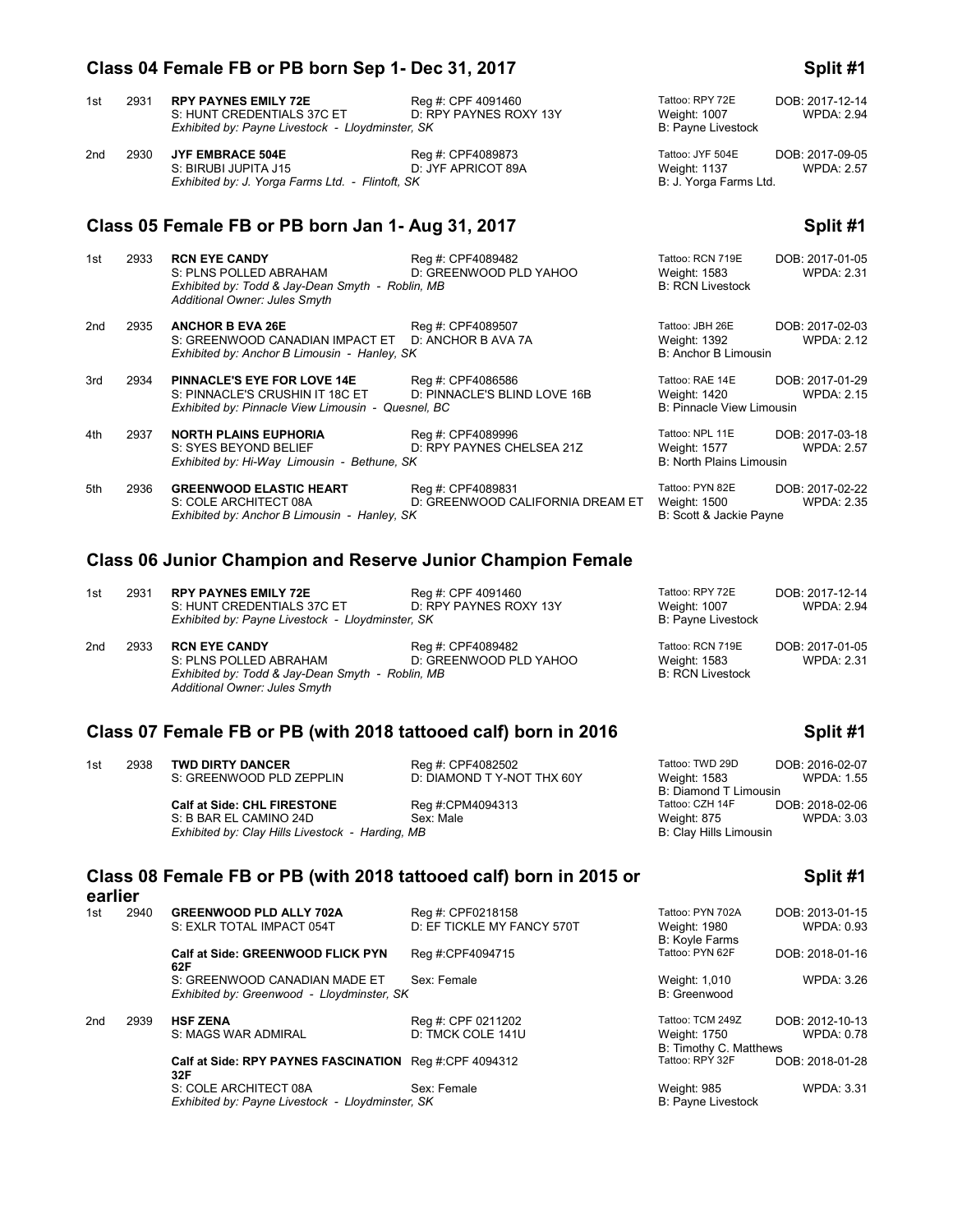# 1st 2931 **RPY PAYNES EMILY 72E** Reg #: CPF 4091460 Tattoo: RPY 72E DOB: 2017-12-14<br>S: HUNT CREDENTIALS 37C ET D: RPY PAYNES ROXY 13Y Weight: 1007 WPDA: 2.94 S: HUNT CREDENTIALS 37C ET 
D: RPY PAYNES ROXY 13Y 
D: POSTAGENTIALS 1007
B: Payne Livestock - Lloydminster, SK
B: Payne Livestock

D: The Distribited by: Payne Livestock - Lloydminster, SK

D: RAMINITED 1999 B: Payne Live *Exhibited by: Payne Livestock - Lloydminster, SK* 2nd 2930 **JYF EMBRACE 504E** Reg #: CPF4089873 Tattoo: JYF 504E DOB: 2017-09-05 S: BIRUBI JUPITA J15 D: JYF APRICOT 89A Weight: 1137<br>Exhibited by: J. Yorga Farms Ltd. - Flintoft, SK B: 2. Yorga Farms Ltd. *Exhibited by: J. Yorga Farms Ltd. - Flintoft, SK* **Class 05 Female FB or PB born Jan 1- Aug 31, 2017 Split #1** 1st 2933 **RCN EYE CANDY** Reg #: CPF4089482 Tattoo: RCN 719E DOB: 2017-01-05<br>S: PLNS POLLED ABRAHAM D: CREENWOOD PLD YAHOO Weight: 1583 WPDA: 2.31 D: GREENWOOD PLD YAHOO

|                 |      | Exhibited by: Todd & Jay-Dean Smyth - Roblin, MB<br>Additional Owner: Jules Smyth                                             |                                                       | <b>B: RCN Livestock</b>                                             |                                      |
|-----------------|------|-------------------------------------------------------------------------------------------------------------------------------|-------------------------------------------------------|---------------------------------------------------------------------|--------------------------------------|
| 2 <sub>nd</sub> | 2935 | <b>ANCHOR B EVA 26E</b><br>S: GREENWOOD CANADIAN IMPACT ET D: ANCHOR B AVA 7A<br>Exhibited by: Anchor B Limousin - Hanley, SK | Reg #: CPF4089507                                     | Tattoo: JBH 26E<br>Weight: 1392<br>B: Anchor B Limousin             | DOB: 2017-02-03<br><b>WPDA: 2.12</b> |
| 3rd             | 2934 | <b>PINNACLE'S EYE FOR LOVE 14E</b><br>S: PINNACLE'S CRUSHIN IT 18C ET<br>Exhibited by: Pinnacle View Limousin - Quesnel, BC   | Reg #: CPF4086586<br>D: PINNACLE'S BLIND LOVE 16B     | Tattoo: RAE 14E<br>Weight: 1420<br><b>B: Pinnacle View Limousin</b> | DOB: 2017-01-29<br>WPDA: 2.15        |
| 4th             | 2937 | <b>NORTH PLAINS EUPHORIA</b><br>S: SYES BEYOND BELIEF<br>Exhibited by: Hi-Way Limousin - Bethune, SK                          | Reg #: CPF4089996<br>D: RPY PAYNES CHELSEA 21Z        | Tattoo: NPL 11E<br>Weight: 1577<br><b>B: North Plains Limousin</b>  | DOB: 2017-03-18<br><b>WPDA: 2.57</b> |
| 5th             | 2936 | <b>GREENWOOD ELASTIC HEART</b><br>S: COLE ARCHITECT 08A                                                                       | Reg #: CPF4089831<br>D: GREENWOOD CALIFORNIA DREAM ET | Tattoo: PYN 82E<br>Weight: 1500                                     | DOB: 2017-02-22<br><b>WPDA: 2.35</b> |

# Exhibited by: Anchor B Limousin - Hanley, SK B: Scott & Jackie Payne

## **Class 06 Junior Champion and Reserve Junior Champion Female**

| 1st | 2931 | <b>RPY PAYNES EMILY 72E</b><br>S: HUNT CREDENTIALS 37C ET<br>Exhibited by: Payne Livestock - Lloydminster, SK | Reg #: CPF 4091460<br>D: RPY PAYNES ROXY 13Y | Tattoo: RPY 72E<br>Weight: 1007<br><b>B: Payne Livestock</b> | DOB: 2017-12-14<br><b>WPDA: 2.94</b> |
|-----|------|---------------------------------------------------------------------------------------------------------------|----------------------------------------------|--------------------------------------------------------------|--------------------------------------|
| 2nd | 2933 | <b>RCN EYE CANDY</b>                                                                                          | Reg #: CPF4089482                            | Tattoo: RCN 719E                                             | DOB: 2017-01-05                      |

S: PLNS POLLED ABRAHAM D: GREENWOOD PLD YAHOO Weight: 1583 WPDA: 2.31<br>
Exhibited by: Todd & Jay-Dean Smyth - Roblin, MB C WAHOO B: RCN Livestock *Exhibited by: Todd & Jay-Dean Smyth - Roblin, MB Additional Owner: Jules Smyth*

## **Class 07 Female FB or PB (with 2018 tattooed calf) born in 2016 Split #1**

| 1st | 2938 | <b>TWD DIRTY DANCER</b>                          | Reg #: CPF4082502         | Tattoo: TWD 29D        | DOB: 2016-02-07   |
|-----|------|--------------------------------------------------|---------------------------|------------------------|-------------------|
|     |      | S: GREENWOOD PLD ZEPPLIN                         | D: DIAMOND TY-NOT THX 60Y | Weight: 1583           | <b>WPDA: 1.55</b> |
|     |      |                                                  |                           | B: Diamond T Limousin  |                   |
|     |      | <b>Calf at Side: CHL FIRESTONE</b>               | Reg #:CPM4094313          | Tattoo: CZH 14F        | DOB: 2018-02-06   |
|     |      | S: B BAR EL CAMINO 24D                           | Sex: Male                 | Weight: 875            | <b>WPDA: 3.03</b> |
|     |      | Exhibited by: Clay Hills Livestock - Harding, MB |                           | B: Clay Hills Limousin |                   |

### **Class 08 Female FB or PB (with 2018 tattooed calf) born in 2015 or earlier**

| 1st | 2940 | <b>GREENWOOD PLD ALLY 702A</b>                                | Reg #: CPF0218158          | Tattoo: PYN 702A          | DOB: 2013-01-15   |
|-----|------|---------------------------------------------------------------|----------------------------|---------------------------|-------------------|
|     |      | S: EXLR TOTAL IMPACT 054T                                     | D: EF TICKLE MY FANCY 570T | Weight: 1980              | WPDA: 0.93        |
|     |      |                                                               |                            | B: Koyle Farms            |                   |
|     |      | Calf at Side: GREENWOOD FLICK PYN<br>62F                      | Reg #:CPF4094715           | Tattoo: PYN 62F           | DOB: 2018-01-16   |
|     |      | S: GREENWOOD CANADIAN MADE ET                                 | Sex: Female                | Weight: 1,010             | <b>WPDA: 3.26</b> |
|     |      | Exhibited by: Greenwood - Lloydminster, SK                    |                            | B: Greenwood              |                   |
| 2nd | 2939 | <b>HSF ZENA</b>                                               | Reg #: CPF 0211202         | Tattoo: TCM 249Z          | DOB: 2012-10-13   |
|     |      | S: MAGS WAR ADMIRAL                                           | D: TMCK COLE 141U          | Weight: 1750              | <b>WPDA: 0.78</b> |
|     |      |                                                               |                            | B: Timothy C. Matthews    |                   |
|     |      | Calf at Side: RPY PAYNES FASCINATION Req #:CPF 4094312<br>32F |                            | Tattoo: RPY 32F           | DOB: 2018-01-28   |
|     |      | S: COLE ARCHITECT 08A                                         | Sex: Female                | Weight: 985               | <b>WPDA: 3.31</b> |
|     |      | Exhibited by: Payne Livestock - Lloydminster, SK              |                            | <b>B: Payne Livestock</b> |                   |

**Split #1**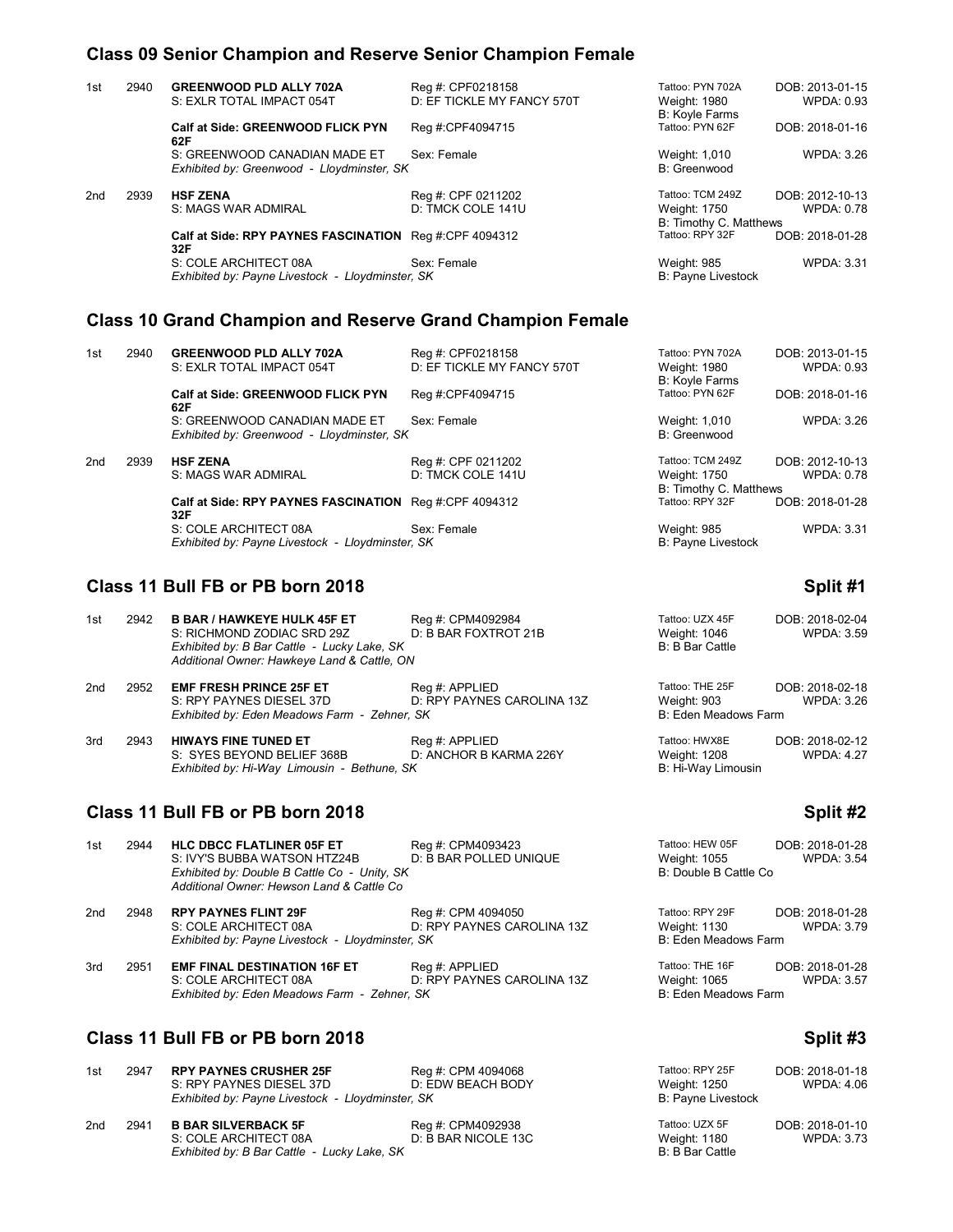## **Class 09 Senior Champion and Reserve Senior Champion Female**

| 1st | 2940 | <b>GREENWOOD PLD ALLY 702A</b><br>S: EXLR TOTAL IMPACT 054T                 | Reg #: CPF0218158<br>D: EF TICKLE MY FANCY 570T | Tattoo: PYN 702A<br>Weight: 1980                           | DOB: 2013-01-15<br><b>WPDA: 0.93</b> |
|-----|------|-----------------------------------------------------------------------------|-------------------------------------------------|------------------------------------------------------------|--------------------------------------|
|     |      | Calf at Side: GREENWOOD FLICK PYN<br>62F                                    | Reg #:CPF4094715                                | <b>B: Koyle Farms</b><br>Tattoo: PYN 62F                   | DOB: 2018-01-16                      |
|     |      | S: GREENWOOD CANADIAN MADE ET<br>Exhibited by: Greenwood - Lloydminster, SK | Sex: Female                                     | Weight: 1,010<br>B: Greenwood                              | <b>WPDA: 3.26</b>                    |
| 2nd | 2939 | <b>HSF ZENA</b><br>S: MAGS WAR ADMIRAL                                      | Reg #: CPF 0211202<br>D: TMCK COLE 141U         | Tattoo: TCM 249Z<br>Weight: 1750<br>B: Timothy C. Matthews | DOB: 2012-10-13<br><b>WPDA: 0.78</b> |
|     |      | Calf at Side: RPY PAYNES FASCINATION Req #:CPF 4094312<br>32F               |                                                 | Tattoo: RPY 32F                                            | DOB: 2018-01-28                      |
|     |      | S: COLE ARCHITECT 08A<br>Exhibited by: Payne Livestock - Lloydminster, SK   | Sex: Female                                     | Weight: 985<br><b>B: Payne Livestock</b>                   | <b>WPDA: 3.31</b>                    |

## **Class 10 Grand Champion and Reserve Grand Champion Female**

| 1st             | 2940 | <b>GREENWOOD PLD ALLY 702A</b><br>S: EXLR TOTAL IMPACT 054T                 | Reg #: CPF0218158<br>D: EF TICKLE MY FANCY 570T | Tattoo: PYN 702A<br>Weight: 1980                           | DOB: 2013-01-15<br>WPDA: 0.93 |
|-----------------|------|-----------------------------------------------------------------------------|-------------------------------------------------|------------------------------------------------------------|-------------------------------|
|                 |      | Calf at Side: GREENWOOD FLICK PYN<br>62F                                    | Reg #:CPF4094715                                | B: Koyle Farms<br>Tattoo: PYN 62F                          | DOB: 2018-01-16               |
|                 |      | S: GREENWOOD CANADIAN MADE ET<br>Exhibited by: Greenwood - Lloydminster, SK | Sex: Female                                     | Weight: 1,010<br>B: Greenwood                              | WPDA: 3.26                    |
| 2 <sub>nd</sub> | 2939 | <b>HSF ZENA</b><br>S: MAGS WAR ADMIRAL                                      | Reg #: CPF 0211202<br>D: TMCK COLE 141U         | Tattoo: TCM 249Z<br>Weight: 1750<br>B: Timothy C. Matthews | DOB: 2012-10-13<br>WPDA: 0.78 |
|                 |      | Calf at Side: RPY PAYNES FASCINATION Req #:CPF 4094312<br>32F               |                                                 | Tattoo: RPY 32F                                            | DOB: 2018-01-28               |
|                 |      | S: COLE ARCHITECT 08A<br>Exhibited by: Payne Livestock - Lloydminster, SK   | Sex: Female                                     | Weight: 985<br><b>B: Payne Livestock</b>                   | WPDA: 3.31                    |

## **Class 11 Bull FB or PB born 2018 Split #1**

| 1st | 2942 | <b>B BAR / HAWKEYE HULK 45F ET</b><br>S: RICHMOND ZODIAC SRD 29Z<br>Exhibited by: B Bar Cattle - Lucky Lake, SK<br>Additional Owner: Hawkeye Land & Cattle, ON | Reg #: CPM4092984<br>D: B BAR FOXTROT 21B    | Tattoo: UZX 45F<br>Weight: 1046<br><b>B:</b> B Bar Cattle | DOB: 2018-02-04<br>WPDA: 3.59        |
|-----|------|----------------------------------------------------------------------------------------------------------------------------------------------------------------|----------------------------------------------|-----------------------------------------------------------|--------------------------------------|
| 2nd | 2952 | <b>EMF FRESH PRINCE 25F ET</b><br>S: RPY PAYNES DIESEL 37D<br>Exhibited by: Eden Meadows Farm - Zehner, SK                                                     | Reg #: APPLIED<br>D: RPY PAYNES CAROLINA 13Z | Tattoo: THE 25F<br>Weight: 903<br>B: Eden Meadows Farm    | DOB: 2018-02-18<br>WPDA: 3.26        |
| 3rd | 2943 | <b>HIWAYS FINE TUNED ET</b><br>S: SYES BEYOND BELIEF 368B<br>Exhibited by: Hi-Way Limousin - Bethune, SK                                                       | Reg #: APPLIED<br>D: ANCHOR B KARMA 226Y     | Tattoo: HWX8E<br>Weight: 1208<br>B: Hi-Way Limousin       | DOB: 2018-02-12<br><b>WPDA: 4.27</b> |

## **Class 11 Bull FB or PB born 2018 Split #2 Split #2**

| 1st             | 2944 | <b>HLC DBCC FLATLINER 05F ET</b>                 | Reg #: CPM4093423          | Tattoo: HEW 05F       | DOB: 2018-01-28   |
|-----------------|------|--------------------------------------------------|----------------------------|-----------------------|-------------------|
|                 |      | S: IVY'S BUBBA WATSON HTZ24B                     | D: B BAR POLLED UNIQUE     | Weight: 1055          | <b>WPDA: 3.54</b> |
|                 |      | Exhibited by: Double B Cattle Co - Unity, SK     |                            | B: Double B Cattle Co |                   |
|                 |      | Additional Owner: Hewson Land & Cattle Co        |                            |                       |                   |
| 2 <sub>nd</sub> | 2948 | <b>RPY PAYNES FLINT 29F</b>                      | Reg #: CPM 4094050         | Tattoo: RPY 29F       | DOB: 2018-01-28   |
|                 |      | S: COLE ARCHITECT 08A                            | D: RPY PAYNES CAROLINA 13Z | Weight: 1130          | WPDA: 3.79        |
|                 |      | Exhibited by: Payne Livestock - Lloydminster, SK |                            | B: Eden Meadows Farm  |                   |
| 3rd             | 2951 | <b>EMF FINAL DESTINATION 16F ET</b>              | Reg #: APPLIED             | Tattoo: THE 16F       | DOB: 2018-01-28   |
|                 |      | S: COLE ARCHITECT 08A                            | D: RPY PAYNES CAROLINA 13Z | Weight: 1065          | <b>WPDA: 3.57</b> |
|                 |      | Exhibited by: Eden Meadows Farm - Zehner, SK     |                            | B: Eden Meadows Farm  |                   |

## **Class 11 Bull FB or PB born 2018 Split #3 Split #3**

| 1st | 2947 | <b>RPY PAYNES CRUSHER 25F</b><br>S: RPY PAYNES DIESEL 37D<br>Exhibited by: Payne Livestock - Lloydminster, SK | Reg #: CPM 4094068<br>D: EDW BEACH BODY  | Tattoo: RPY 25F<br>Weight: 1250<br>B: Payne Livestock | DOB: 2018-01-18<br>WPDA: 4.06        |
|-----|------|---------------------------------------------------------------------------------------------------------------|------------------------------------------|-------------------------------------------------------|--------------------------------------|
| 2nd | 2941 | <b>B BAR SILVERBACK 5F</b><br>S: COLE ARCHITECT 08A<br>Exhibited by: B Bar Cattle - Lucky Lake, SK            | Reg #: CPM4092938<br>D: B BAR NICOLE 13C | Tattoo: UZX 5F<br>Weight: 1180<br>B: B Bar Cattle     | DOB: 2018-01-10<br><b>WPDA: 3.73</b> |

| DUD. ZU 10-01-20  |
|-------------------|
| <b>WPDA: 3.57</b> |
| den Meadows Farm  |
|                   |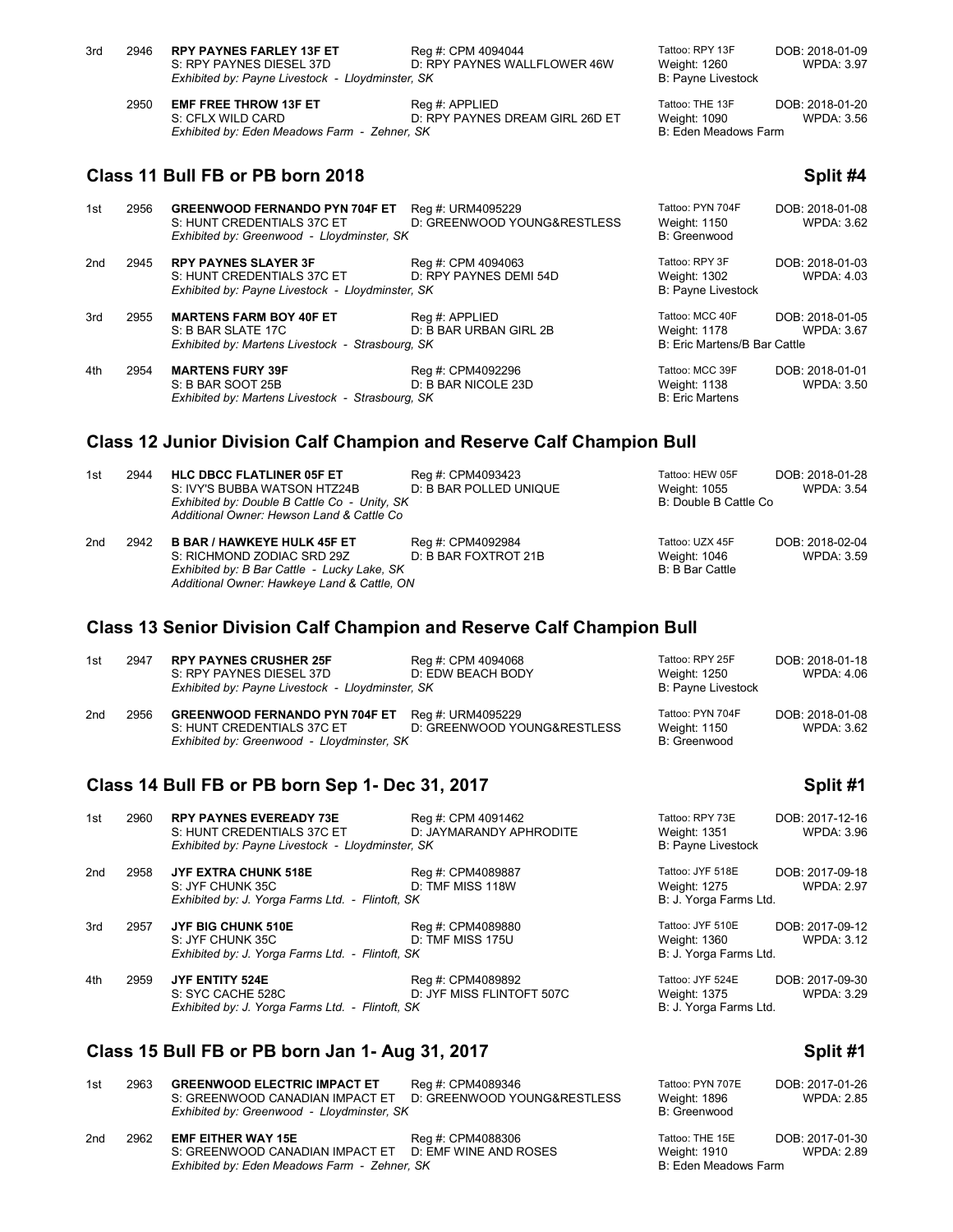| 3rd | 2946 | <b>RPY PAYNES FARLEY 13F ET</b><br>S: RPY PAYNES DIESEL 37D<br>Exhibited by: Payne Livestock - Lloydminster, SK   | Reg #: CPM 4094044<br>D: RPY PAYNES WALLFLOWER 46W | Tattoo: RPY 13F<br>Weight: 1260<br><b>B: Payne Livestock</b>    | DOB: 2018-01-09<br><b>WPDA: 3.97</b> |
|-----|------|-------------------------------------------------------------------------------------------------------------------|----------------------------------------------------|-----------------------------------------------------------------|--------------------------------------|
|     | 2950 | <b>EMF FREE THROW 13F ET</b><br>S: CFLX WILD CARD<br>Exhibited by: Eden Meadows Farm - Zehner, SK                 | Reg #: APPLIED<br>D: RPY PAYNES DREAM GIRL 26D ET  | Tattoo: THE 13F<br>Weight: 1090<br>B: Eden Meadows Farm         | DOB: 2018-01-20<br><b>WPDA: 3.56</b> |
|     |      | Class 11 Bull FB or PB born 2018                                                                                  |                                                    |                                                                 | Split #4                             |
| 1st | 2956 | <b>GREENWOOD FERNANDO PYN 704F ET</b><br>S: HUNT CREDENTIALS 37C ET<br>Exhibited by: Greenwood - Lloydminster, SK | Reg #: URM4095229<br>D: GREENWOOD YOUNG&RESTLESS   | Tattoo: PYN 704F<br>Weight: 1150<br>B: Greenwood                | DOB: 2018-01-08<br><b>WPDA: 3.62</b> |
| 2nd | 2945 | <b>RPY PAYNES SLAYER 3F</b><br>S: HUNT CREDENTIALS 37C ET<br>Exhibited by: Payne Livestock - Lloydminster, SK     | Reg #: CPM 4094063<br>D: RPY PAYNES DEMI 54D       | Tattoo: RPY 3F<br>Weight: 1302<br><b>B: Payne Livestock</b>     | DOB: 2018-01-03<br><b>WPDA: 4.03</b> |
| 3rd | 2955 | <b>MARTENS FARM BOY 40F ET</b><br>S: B BAR SLATE 17C<br>Exhibited by: Martens Livestock - Strasbourg, SK          | Reg #: APPLIED<br>D: B BAR URBAN GIRL 2B           | Tattoo: MCC 40F<br>Weight: 1178<br>B: Eric Martens/B Bar Cattle | DOB: 2018-01-05<br><b>WPDA: 3.67</b> |
| 4th | 2954 | <b>MARTENS FURY 39F</b><br>S: B BAR SOOT 25B<br>Exhibited by: Martens Livestock - Strasbourg, SK                  | Reg #: CPM4092296<br>D: B BAR NICOLE 23D           | Tattoo: MCC 39F<br>Weight: 1138<br><b>B: Eric Martens</b>       | DOB: 2018-01-01<br><b>WPDA: 3.50</b> |
|     |      |                                                                                                                   |                                                    |                                                                 |                                      |

### **Class 12 Junior Division Calf Champion and Reserve Calf Champion Bull**

| 1st | 2944 | <b>HLC DBCC FLATLINER 05F ET</b><br>S: IVY'S BUBBA WATSON HTZ24B<br>Exhibited by: Double B Cattle Co - Unity, SK<br>Additional Owner: Hewson Land & Cattle Co  | Reg #: CPM4093423<br>D: B BAR POLLED UNIQUE | Tattoo: HEW 05F<br>Weight: 1055<br>B: Double B Cattle Co | DOB: 2018-01-28<br>WPDA: 3.54 |
|-----|------|----------------------------------------------------------------------------------------------------------------------------------------------------------------|---------------------------------------------|----------------------------------------------------------|-------------------------------|
| 2nd | 2942 | <b>B BAR / HAWKEYE HULK 45F ET</b><br>S: RICHMOND ZODIAC SRD 29Z<br>Exhibited by: B Bar Cattle - Lucky Lake, SK<br>Additional Owner: Hawkeye Land & Cattle, ON | Reg #: CPM4092984<br>D: B BAR FOXTROT 21B   | Tattoo: UZX 45F<br>Weight: 1046<br>B: B Bar Cattle       | DOB: 2018-02-04<br>WPDA: 3.59 |

### **Class 13 Senior Division Calf Champion and Reserve Calf Champion Bull**

| 1st | 2947 | <b>RPY PAYNES CRUSHER 25F</b><br>S: RPY PAYNES DIESEL 37D<br>Exhibited by: Payne Livestock - Lloydminster, SK     | Reg #: CPM 4094068<br>D: EDW BEACH BODY          | Tattoo: RPY 25F<br>Weight: 1250<br>B: Payne Livestock | DOB: 2018-01-18<br>WPDA: 4.06 |
|-----|------|-------------------------------------------------------------------------------------------------------------------|--------------------------------------------------|-------------------------------------------------------|-------------------------------|
| 2nd | 2956 | <b>GREENWOOD FERNANDO PYN 704F ET</b><br>S: HUNT CREDENTIALS 37C ET<br>Exhibited by: Greenwood - Lloydminster, SK | Reg #: URM4095229<br>D: GREENWOOD YOUNG&RESTLESS | Tattoo: PYN 704F<br>Weight: 1150<br>B: Greenwood      | DOB: 2018-01-08<br>WPDA: 3.62 |

### **Class 14 Bull FB or PB born Sep 1- Dec 31, 2017 Split #1**

| 1st | 2960 | <b>RPY PAYNES EVEREADY 73E</b><br>S: HUNT CREDENTIALS 37C ET<br>Exhibited by: Payne Livestock - Lloydminster, SK | Reg #: CPM 4091462<br>D: JAYMARANDY APHRODITE  | Tattoo: RPY 73E<br>Weight: 1351<br><b>B: Payne Livestock</b> | DOB: 2017-12-16<br><b>WPDA: 3.96</b> |
|-----|------|------------------------------------------------------------------------------------------------------------------|------------------------------------------------|--------------------------------------------------------------|--------------------------------------|
| 2nd | 2958 | <b>JYF EXTRA CHUNK 518E</b><br>S: JYF CHUNK 35C<br>Exhibited by: J. Yorga Farms Ltd. - Flintoft, SK              | Reg #: CPM4089887<br>D: TMF MISS 118W          | Tattoo: JYF 518E<br>Weight: 1275<br>B: J. Yorga Farms Ltd.   | DOB: 2017-09-18<br><b>WPDA: 2.97</b> |
| 3rd | 2957 | JYF BIG CHUNK 510E<br>S: JYF CHUNK 35C<br>Exhibited by: J. Yorga Farms Ltd. - Flintoft, SK                       | Reg #: CPM4089880<br>D: TMF MISS 175U          | Tattoo: JYF 510E<br>Weight: 1360<br>B: J. Yorga Farms Ltd.   | DOB: 2017-09-12<br><b>WPDA: 3.12</b> |
| 4th | 2959 | JYF ENTITY 524E<br>S: SYC CACHE 528C<br>Exhibited by: J. Yorga Farms Ltd. - Flintoft, SK                         | Reg #: CPM4089892<br>D: JYF MISS FLINTOFT 507C | Tattoo: JYF 524E<br>Weight: 1375<br>B: J. Yorga Farms Ltd.   | DOB: 2017-09-30<br><b>WPDA: 3.29</b> |

## **Class 15 Bull FB or PB born Jan 1- Aug 31, 2017 Split #1**

| 1st             | 2963                                         | <b>GREENWOOD ELECTRIC IMPACT ET</b><br>S: GREENWOOD CANADIAN IMPACT ET<br>Exhibited by: Greenwood - Lloydminster, SK | Rea #: CPM4089346<br>D: GREENWOOD YOUNG&RESTLESS | Tattoo: PYN 707E<br>Weight: 1896<br>B: Greenwood | DOB: 2017-01-26<br><b>WPDA: 2.85</b> |
|-----------------|----------------------------------------------|----------------------------------------------------------------------------------------------------------------------|--------------------------------------------------|--------------------------------------------------|--------------------------------------|
| 2 <sub>nd</sub> | 2962                                         | <b>EMF EITHER WAY 15E</b>                                                                                            | Reg #: CPM4088306                                | Tattoo: THE 15E                                  | DOB: 2017-01-30                      |
|                 |                                              | S: GREENWOOD CANADIAN IMPACT ET D: EMF WINE AND ROSES                                                                |                                                  | Weight: 1910                                     | <b>WPDA: 2.89</b>                    |
|                 | Exhibited by: Eden Meadows Farm - Zehner, SK |                                                                                                                      |                                                  | B: Eden Meadows Farm                             |                                      |

|  | Split #1 |
|--|----------|
|  |          |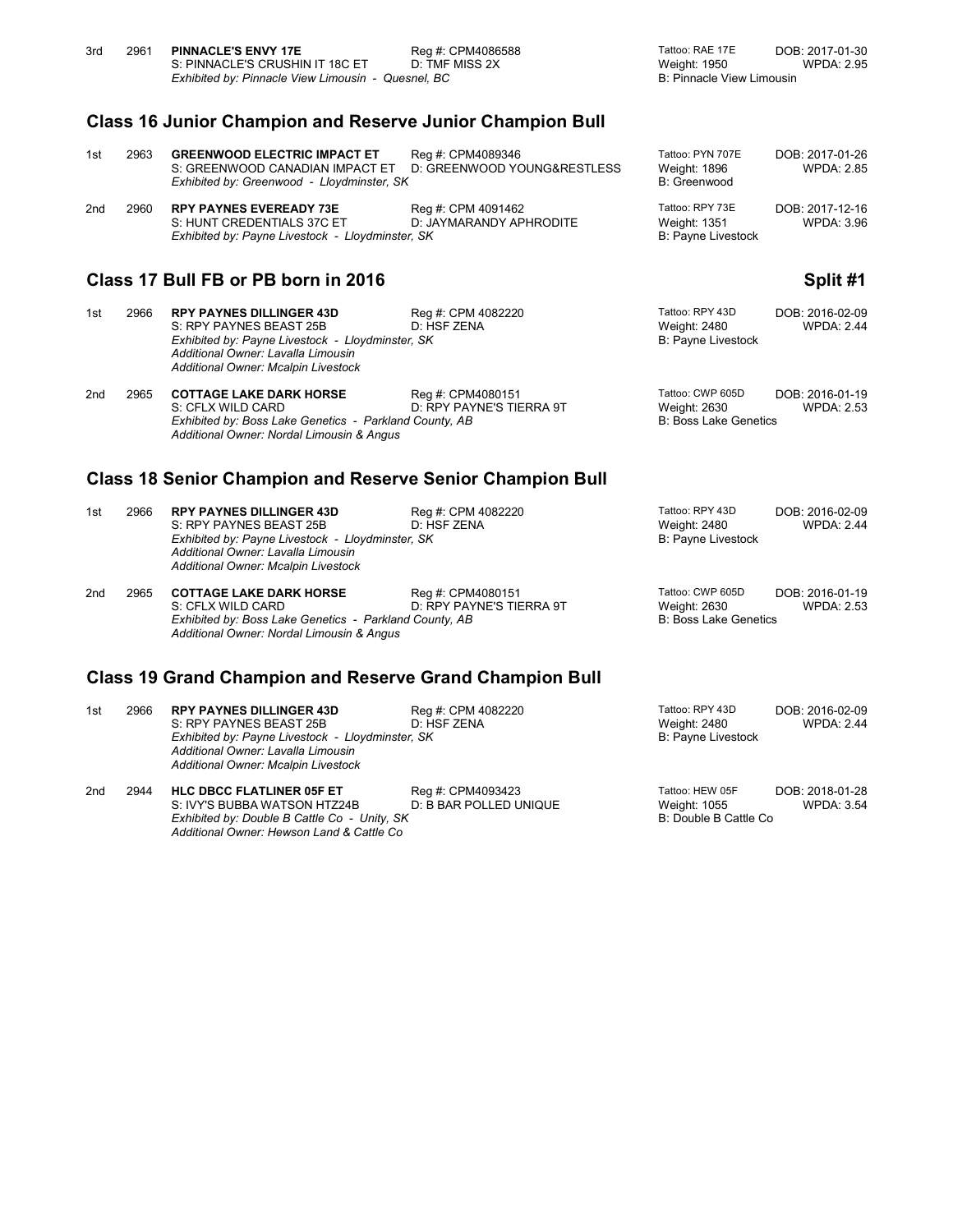| 3rd                                                              | 2961                                                             | <b>PINNACLE'S ENVY 17E</b><br>S: PINNACLE'S CRUSHIN IT 18C ET<br>Exhibited by: Pinnacle View Limousin - Quesnel, BC                                                                         | Reg #: CPM4086588<br>D: TMF MISS 2X              | Tattoo: RAE 17E<br>Weight: 1950<br><b>B: Pinnacle View Limousin</b>     | DOB: 2017-01-30<br><b>WPDA: 2.95</b> |  |
|------------------------------------------------------------------|------------------------------------------------------------------|---------------------------------------------------------------------------------------------------------------------------------------------------------------------------------------------|--------------------------------------------------|-------------------------------------------------------------------------|--------------------------------------|--|
|                                                                  | <b>Class 16 Junior Champion and Reserve Junior Champion Bull</b> |                                                                                                                                                                                             |                                                  |                                                                         |                                      |  |
| 1st                                                              | 2963                                                             | <b>GREENWOOD ELECTRIC IMPACT ET</b><br>S: GREENWOOD CANADIAN IMPACT ET<br>Exhibited by: Greenwood - Lloydminster, SK                                                                        | Reg #: CPM4089346<br>D: GREENWOOD YOUNG&RESTLESS | Tattoo: PYN 707E<br>Weight: 1896<br>B: Greenwood                        | DOB: 2017-01-26<br><b>WPDA: 2.85</b> |  |
| 2nd                                                              | 2960                                                             | <b>RPY PAYNES EVEREADY 73E</b><br>S: HUNT CREDENTIALS 37C ET<br>Exhibited by: Payne Livestock - Lloydminster, SK                                                                            | Reg #: CPM 4091462<br>D: JAYMARANDY APHRODITE    | Tattoo: RPY 73E<br><b>Weight: 1351</b><br><b>B: Payne Livestock</b>     | DOB: 2017-12-16<br><b>WPDA: 3.96</b> |  |
|                                                                  | Class 17 Bull FB or PB born in 2016<br>Split #1                  |                                                                                                                                                                                             |                                                  |                                                                         |                                      |  |
| 1st                                                              | 2966                                                             | <b>RPY PAYNES DILLINGER 43D</b><br>S: RPY PAYNES BEAST 25B<br>Exhibited by: Payne Livestock - Lloydminster, SK<br>Additional Owner: Lavalla Limousin<br>Additional Owner: Mcalpin Livestock | Reg #: CPM 4082220<br>D: HSF ZENA                | Tattoo: RPY 43D<br>Weight: 2480<br><b>B: Payne Livestock</b>            | DOB: 2016-02-09<br><b>WPDA: 2.44</b> |  |
| 2 <sub>nd</sub>                                                  | 2965                                                             | <b>COTTAGE LAKE DARK HORSE</b><br>S: CFLX WILD CARD<br>Exhibited by: Boss Lake Genetics - Parkland County, AB<br>Additional Owner: Nordal Limousin & Angus                                  | Reg #: CPM4080151<br>D: RPY PAYNE'S TIERRA 9T    | Tattoo: CWP 605D<br>Weight: 2630<br><b>B: Boss Lake Genetics</b>        | DOB: 2016-01-19<br><b>WPDA: 2.53</b> |  |
| <b>Class 18 Senior Champion and Reserve Senior Champion Bull</b> |                                                                  |                                                                                                                                                                                             |                                                  |                                                                         |                                      |  |
| 1st                                                              | 2966                                                             | <b>RPY PAYNES DILLINGER 43D</b><br>S: RPY PAYNES BEAST 25B<br>Exhibited by: Payne Livestock - Lloydminster, SK<br>Additional Owner: Lavalla Limousin<br>Additional Owner: Mcalpin Livestock | Reg #: CPM 4082220<br>D: HSF ZENA                | Tattoo: RPY 43D<br><b>Weight: 2480</b><br><b>B: Payne Livestock</b>     | DOB: 2016-02-09<br><b>WPDA: 2.44</b> |  |
| 2 <sub>nd</sub>                                                  | 2965                                                             | <b>COTTAGE LAKE DARK HORSE</b><br>S: CFLX WILD CARD<br>Exhibited by: Boss Lake Genetics - Parkland County, AB<br>Additional Owner: Nordal Limousin & Angus                                  | Reg #: CPM4080151<br>D: RPY PAYNE'S TIERRA 9T    | Tattoo: CWP 605D<br><b>Weight: 2630</b><br><b>B: Boss Lake Genetics</b> | DOB: 2016-01-19<br><b>WPDA: 2.53</b> |  |
| <b>Class 19 Grand Champion and Reserve Grand Champion Bull</b>   |                                                                  |                                                                                                                                                                                             |                                                  |                                                                         |                                      |  |
| 1st                                                              | 2966                                                             | <b>RPY PAYNES DILLINGER 43D</b><br>S: RPY PAYNES BEAST 25B<br>Exhibited by: Payne Livestock - Lloydminster, SK<br>Additional Owner: Lavalla Limousin<br>Additional Owner: Mcalpin Livestock | Reg #: CPM 4082220<br>D: HSF ZENA                | Tattoo: RPY 43D<br>Weight: 2480<br>B: Payne Livestock                   | DOB: 2016-02-09<br><b>WPDA: 2.44</b> |  |
|                                                                  |                                                                  |                                                                                                                                                                                             |                                                  |                                                                         |                                      |  |

2nd 2944 **HLC DBCC FLATLINER 05F ET** Reg #: CPM4093423 Tattoo: HEW 05F DOB: 2018-01-28<br>S: IVY'S BUBBA WATSON HTZ24B D: B BAR POLLED UNIQUE Weight: 1055 WPDA: 3.54 S: IVY'S BUBBA WATSON HTZ24B D: B BAR POLLED UNIQUE Weight: 1055<br>
Exhibited by: Double B Cattle Co - Unity, SK B: Double B Cattle Co *Exhibited by: Double B Cattle Co - Unity, SK* B: Double B Cattle Co *Additional Owner: Hewson Land & Cattle Co*